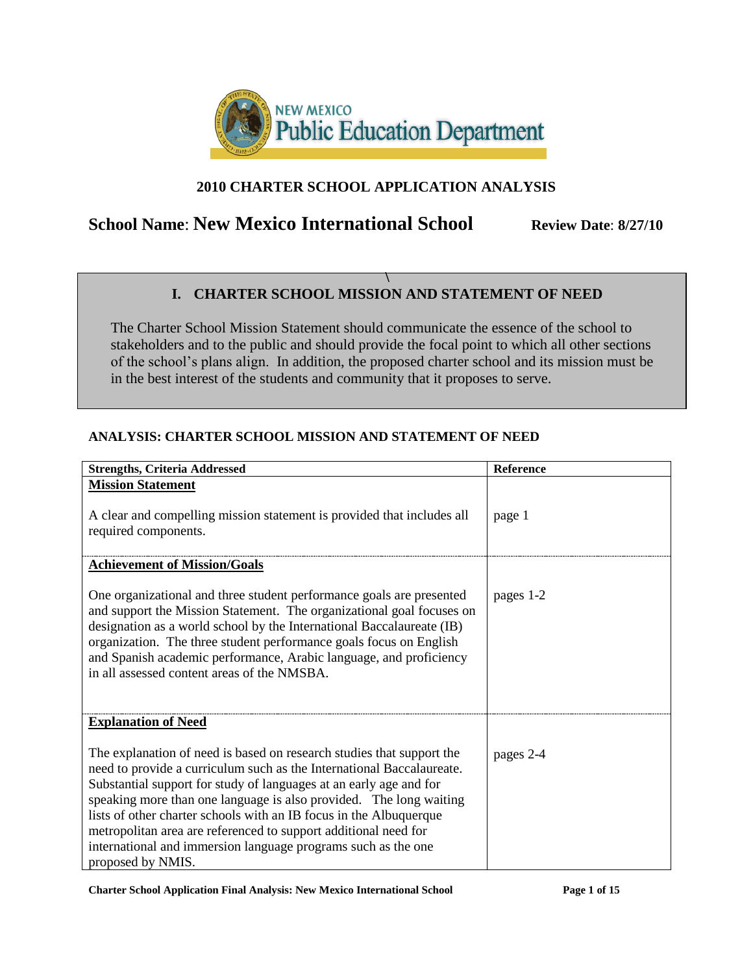

## **2010 CHARTER SCHOOL APPLICATION ANALYSIS**

# **School Name: New Mexico International School Review Date: 8/27/10**

#### **\ I. CHARTER SCHOOL MISSION AND STATEMENT OF NEED**

The Charter School Mission Statement should communicate the essence of the school to stakeholders and to the public and should provide the focal point to which all other sections of the school's plans align. In addition, the proposed charter school and its mission must be in the best interest of the students and community that it proposes to serve.

### **ANALYSIS: CHARTER SCHOOL MISSION AND STATEMENT OF NEED**

| <b>Strengths, Criteria Addressed</b>                                                                                                                                                                                                                                                                                                                                                                                                                                                                                      | Reference |
|---------------------------------------------------------------------------------------------------------------------------------------------------------------------------------------------------------------------------------------------------------------------------------------------------------------------------------------------------------------------------------------------------------------------------------------------------------------------------------------------------------------------------|-----------|
| <b>Mission Statement</b>                                                                                                                                                                                                                                                                                                                                                                                                                                                                                                  |           |
| A clear and compelling mission statement is provided that includes all<br>required components.                                                                                                                                                                                                                                                                                                                                                                                                                            | page 1    |
| <b>Achievement of Mission/Goals</b>                                                                                                                                                                                                                                                                                                                                                                                                                                                                                       |           |
| One organizational and three student performance goals are presented<br>and support the Mission Statement. The organizational goal focuses on<br>designation as a world school by the International Baccalaureate (IB)<br>organization. The three student performance goals focus on English<br>and Spanish academic performance, Arabic language, and proficiency<br>in all assessed content areas of the NMSBA.                                                                                                         | pages 1-2 |
| <b>Explanation of Need</b>                                                                                                                                                                                                                                                                                                                                                                                                                                                                                                |           |
| The explanation of need is based on research studies that support the<br>need to provide a curriculum such as the International Baccalaureate.<br>Substantial support for study of languages at an early age and for<br>speaking more than one language is also provided. The long waiting<br>lists of other charter schools with an IB focus in the Albuquerque<br>metropolitan area are referenced to support additional need for<br>international and immersion language programs such as the one<br>proposed by NMIS. | pages 2-4 |

**Charter School Application Final Analysis: New Mexico International School Page 1 of 15**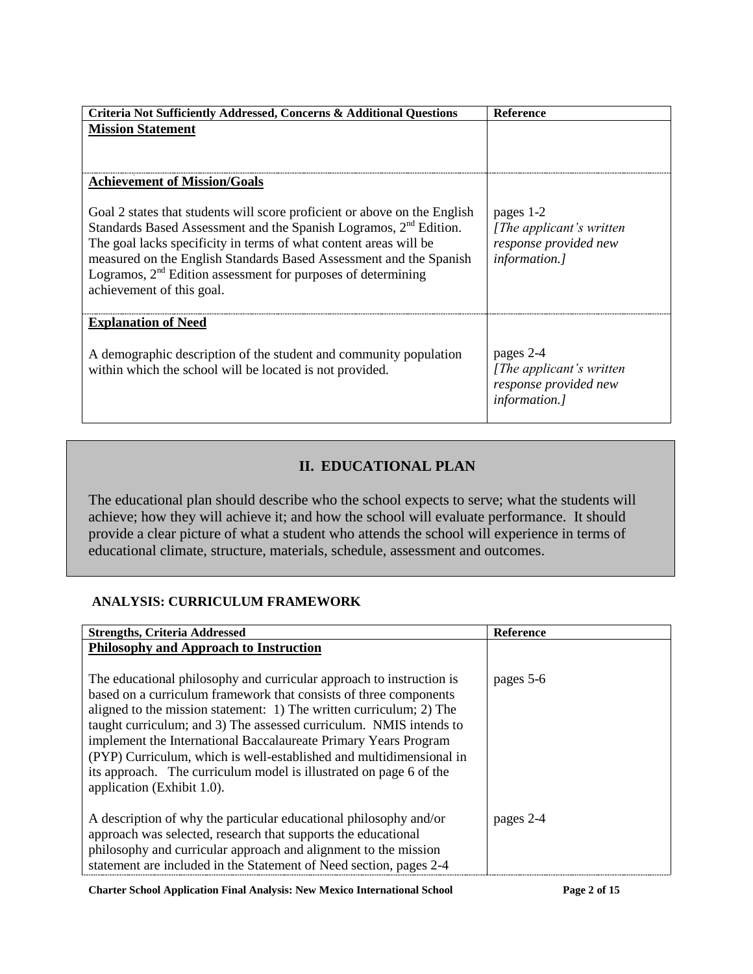| Criteria Not Sufficiently Addressed, Concerns & Additional Questions                                                                                                                                                                                                                                                                                                                                 | <b>Reference</b>                                                                        |
|------------------------------------------------------------------------------------------------------------------------------------------------------------------------------------------------------------------------------------------------------------------------------------------------------------------------------------------------------------------------------------------------------|-----------------------------------------------------------------------------------------|
| <b>Mission Statement</b>                                                                                                                                                                                                                                                                                                                                                                             |                                                                                         |
|                                                                                                                                                                                                                                                                                                                                                                                                      |                                                                                         |
| <b>Achievement of Mission/Goals</b>                                                                                                                                                                                                                                                                                                                                                                  |                                                                                         |
| Goal 2 states that students will score proficient or above on the English<br>Standards Based Assessment and the Spanish Logramos, 2 <sup>nd</sup> Edition.<br>The goal lacks specificity in terms of what content areas will be<br>measured on the English Standards Based Assessment and the Spanish<br>Logramos, $2nd$ Edition assessment for purposes of determining<br>achievement of this goal. | pages 1-2<br>[The applicant's written]<br>response provided new<br><i>information.]</i> |
| <b>Explanation of Need</b>                                                                                                                                                                                                                                                                                                                                                                           |                                                                                         |
| A demographic description of the student and community population<br>within which the school will be located is not provided.                                                                                                                                                                                                                                                                        | pages 2-4<br>[The applicant's written]<br>response provided new<br><i>information.]</i> |

## **II. EDUCATIONAL PLAN**

The educational plan should describe who the school expects to serve; what the students will achieve; how they will achieve it; and how the school will evaluate performance. It should provide a clear picture of what a student who attends the school will experience in terms of educational climate, structure, materials, schedule, assessment and outcomes.

### **ANALYSIS: CURRICULUM FRAMEWORK**

| <b>Strengths, Criteria Addressed</b>                                                                                                                                                                                                                                                                                                                                                                                                                                                                                                 | <b>Reference</b> |
|--------------------------------------------------------------------------------------------------------------------------------------------------------------------------------------------------------------------------------------------------------------------------------------------------------------------------------------------------------------------------------------------------------------------------------------------------------------------------------------------------------------------------------------|------------------|
| <b>Philosophy and Approach to Instruction</b>                                                                                                                                                                                                                                                                                                                                                                                                                                                                                        |                  |
| The educational philosophy and curricular approach to instruction is<br>based on a curriculum framework that consists of three components<br>aligned to the mission statement: 1) The written curriculum; 2) The<br>taught curriculum; and 3) The assessed curriculum. NMIS intends to<br>implement the International Baccalaureate Primary Years Program<br>(PYP) Curriculum, which is well-established and multidimensional in<br>its approach. The curriculum model is illustrated on page 6 of the<br>application (Exhibit 1.0). | pages 5-6        |
| A description of why the particular educational philosophy and/or<br>approach was selected, research that supports the educational<br>philosophy and curricular approach and alignment to the mission<br>statement are included in the Statement of Need section, pages 2-4                                                                                                                                                                                                                                                          | pages 2-4        |

**Charter School Application Final Analysis: New Mexico International School Page 2 of 15**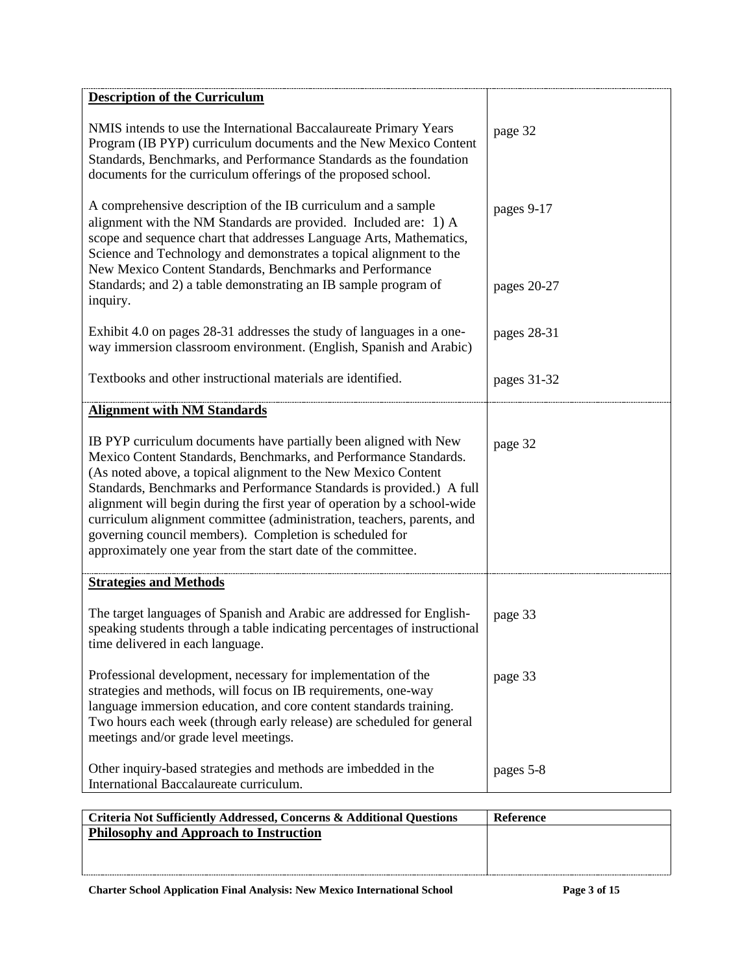| <b>Description of the Curriculum</b>                                                                                                                                                                                                                                                                                                                                                                                                                                                                                                                            |             |
|-----------------------------------------------------------------------------------------------------------------------------------------------------------------------------------------------------------------------------------------------------------------------------------------------------------------------------------------------------------------------------------------------------------------------------------------------------------------------------------------------------------------------------------------------------------------|-------------|
| NMIS intends to use the International Baccalaureate Primary Years<br>Program (IB PYP) curriculum documents and the New Mexico Content<br>Standards, Benchmarks, and Performance Standards as the foundation<br>documents for the curriculum offerings of the proposed school.                                                                                                                                                                                                                                                                                   | page 32     |
| A comprehensive description of the IB curriculum and a sample<br>alignment with the NM Standards are provided. Included are: 1) A<br>scope and sequence chart that addresses Language Arts, Mathematics,<br>Science and Technology and demonstrates a topical alignment to the<br>New Mexico Content Standards, Benchmarks and Performance                                                                                                                                                                                                                      | pages 9-17  |
| Standards; and 2) a table demonstrating an IB sample program of<br>inquiry.                                                                                                                                                                                                                                                                                                                                                                                                                                                                                     | pages 20-27 |
| Exhibit 4.0 on pages 28-31 addresses the study of languages in a one-<br>way immersion classroom environment. (English, Spanish and Arabic)                                                                                                                                                                                                                                                                                                                                                                                                                     | pages 28-31 |
| Textbooks and other instructional materials are identified.                                                                                                                                                                                                                                                                                                                                                                                                                                                                                                     | pages 31-32 |
| <b>Alignment with NM Standards</b>                                                                                                                                                                                                                                                                                                                                                                                                                                                                                                                              |             |
| IB PYP curriculum documents have partially been aligned with New<br>Mexico Content Standards, Benchmarks, and Performance Standards.<br>(As noted above, a topical alignment to the New Mexico Content<br>Standards, Benchmarks and Performance Standards is provided.) A full<br>alignment will begin during the first year of operation by a school-wide<br>curriculum alignment committee (administration, teachers, parents, and<br>governing council members). Completion is scheduled for<br>approximately one year from the start date of the committee. | page 32     |
| <b>Strategies and Methods</b>                                                                                                                                                                                                                                                                                                                                                                                                                                                                                                                                   |             |
| The target languages of Spanish and Arabic are addressed for English-<br>speaking students through a table indicating percentages of instructional<br>time delivered in each language.                                                                                                                                                                                                                                                                                                                                                                          | page 33     |
| Professional development, necessary for implementation of the<br>strategies and methods, will focus on IB requirements, one-way<br>language immersion education, and core content standards training.<br>Two hours each week (through early release) are scheduled for general<br>meetings and/or grade level meetings.                                                                                                                                                                                                                                         | page 33     |
| Other inquiry-based strategies and methods are imbedded in the<br>International Baccalaureate curriculum.                                                                                                                                                                                                                                                                                                                                                                                                                                                       | pages 5-8   |
|                                                                                                                                                                                                                                                                                                                                                                                                                                                                                                                                                                 |             |

| Criteria Not Sufficiently Addressed, Concerns & Additional Questions | Reference |
|----------------------------------------------------------------------|-----------|
| Philosophy and Approach to Instruction                               |           |
|                                                                      |           |
|                                                                      |           |
|                                                                      |           |

**Charter School Application Final Analysis: New Mexico International School Page 3 of 15**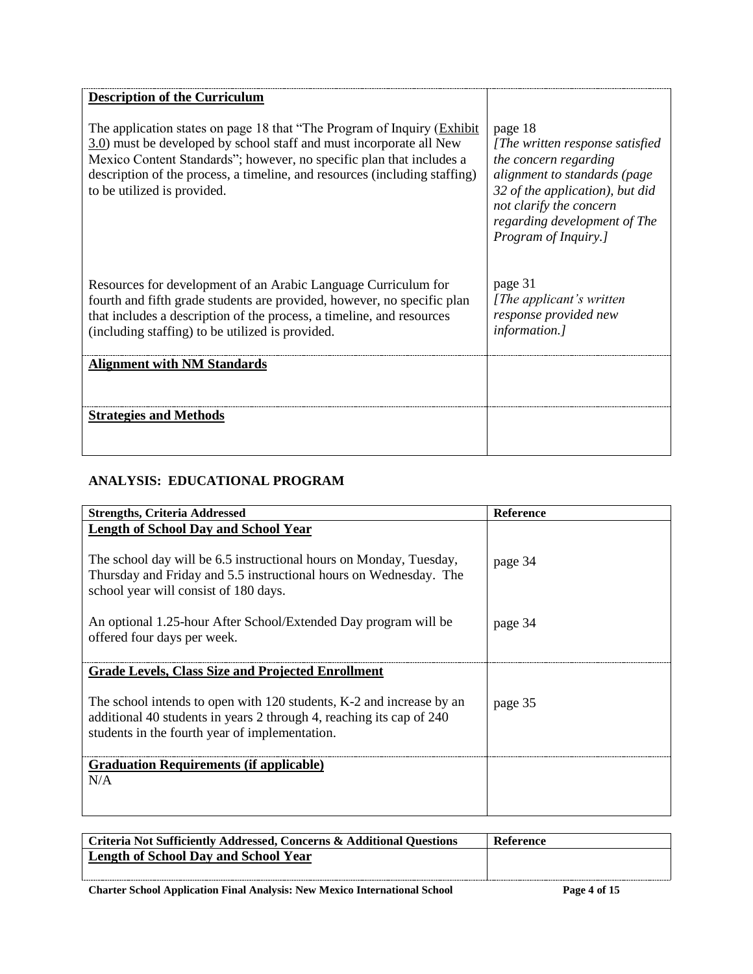| <b>Description of the Curriculum</b>                                                                                                                                                                                                                                                                                                          |                                                                                                                                                                                                                           |
|-----------------------------------------------------------------------------------------------------------------------------------------------------------------------------------------------------------------------------------------------------------------------------------------------------------------------------------------------|---------------------------------------------------------------------------------------------------------------------------------------------------------------------------------------------------------------------------|
| The application states on page 18 that "The Program of Inquiry ( <i>Exhibit</i> )<br>3.0) must be developed by school staff and must incorporate all New<br>Mexico Content Standards"; however, no specific plan that includes a<br>description of the process, a timeline, and resources (including staffing)<br>to be utilized is provided. | page 18<br>[The written response satisfied<br>the concern regarding<br>alignment to standards (page<br>32 of the application), but did<br>not clarify the concern<br>regarding development of The<br>Program of Inquiry.] |
| Resources for development of an Arabic Language Curriculum for<br>fourth and fifth grade students are provided, however, no specific plan<br>that includes a description of the process, a timeline, and resources<br>(including staffing) to be utilized is provided.                                                                        | page 31<br>[The applicant's written]<br>response provided new<br><i>information.]</i>                                                                                                                                     |
| <b>Alignment with NM Standards</b>                                                                                                                                                                                                                                                                                                            |                                                                                                                                                                                                                           |
| <b>Strategies and Methods</b>                                                                                                                                                                                                                                                                                                                 |                                                                                                                                                                                                                           |

## **ANALYSIS: EDUCATIONAL PROGRAM**

| <b>Strengths, Criteria Addressed</b>                                                                                                                                                           | Reference |
|------------------------------------------------------------------------------------------------------------------------------------------------------------------------------------------------|-----------|
| <b>Length of School Day and School Year</b>                                                                                                                                                    |           |
| The school day will be 6.5 instructional hours on Monday, Tuesday,<br>Thursday and Friday and 5.5 instructional hours on Wednesday. The<br>school year will consist of 180 days.               | page 34   |
| An optional 1.25-hour After School/Extended Day program will be<br>offered four days per week.                                                                                                 | page 34   |
| <b>Grade Levels, Class Size and Projected Enrollment</b>                                                                                                                                       |           |
| The school intends to open with 120 students, K-2 and increase by an<br>additional 40 students in years 2 through 4, reaching its cap of 240<br>students in the fourth year of implementation. | page 35   |
| <b>Graduation Requirements (if applicable)</b>                                                                                                                                                 |           |
| N/A                                                                                                                                                                                            |           |

| Criteria Not Sufficiently Addressed, Concerns & Additional Questions | <b>Reference</b> |
|----------------------------------------------------------------------|------------------|
| Length of School Day and School Year                                 |                  |
|                                                                      |                  |

**Charter School Application Final Analysis: New Mexico International School Page 4 of 15**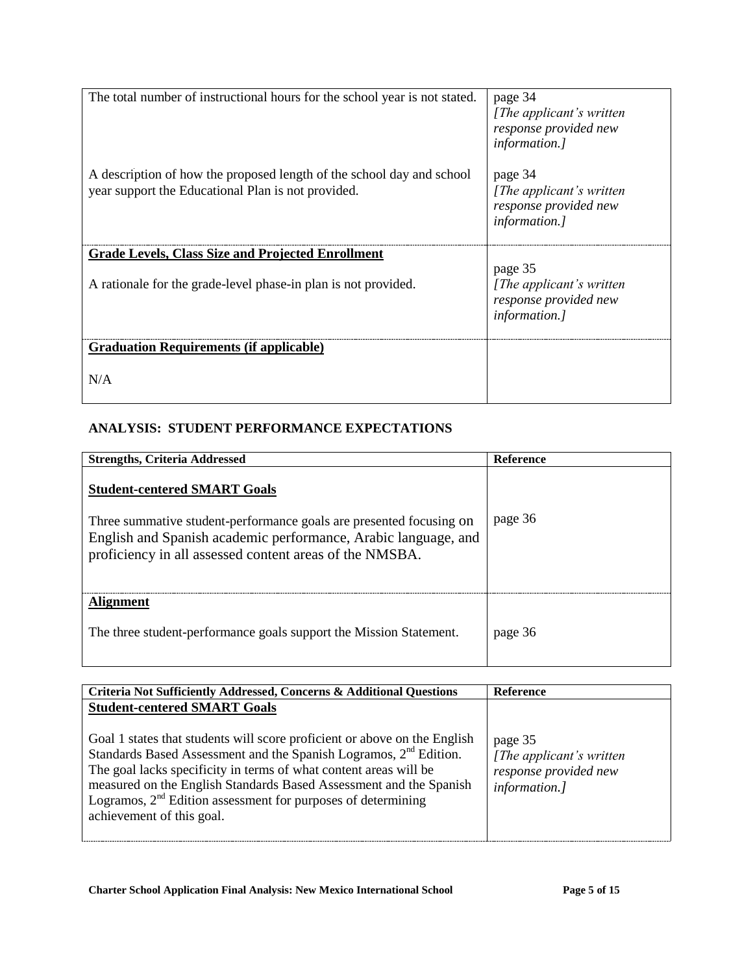| The total number of instructional hours for the school year is not stated.                                                  | page 34<br>[ <i>The applicant's written</i><br>response provided new<br><i>information.]</i> |
|-----------------------------------------------------------------------------------------------------------------------------|----------------------------------------------------------------------------------------------|
| A description of how the proposed length of the school day and school<br>year support the Educational Plan is not provided. | page 34<br>[ <i>The applicant's written</i><br>response provided new<br><i>information.]</i> |
| <b>Grade Levels, Class Size and Projected Enrollment</b>                                                                    |                                                                                              |
| A rationale for the grade-level phase-in plan is not provided.                                                              | page 35<br>[ <i>The applicant's written</i><br>response provided new<br><i>information.]</i> |
| <b>Graduation Requirements (if applicable)</b>                                                                              |                                                                                              |
| N/A                                                                                                                         |                                                                                              |

### **ANALYSIS: STUDENT PERFORMANCE EXPECTATIONS**

| <b>Strengths, Criteria Addressed</b>                                                                                                                                                                                                    | Reference |
|-----------------------------------------------------------------------------------------------------------------------------------------------------------------------------------------------------------------------------------------|-----------|
| <b>Student-centered SMART Goals</b><br>Three summative student-performance goals are presented focusing on<br>English and Spanish academic performance, Arabic language, and<br>proficiency in all assessed content areas of the NMSBA. | page 36   |
| <b>Alignment</b><br>The three student-performance goals support the Mission Statement.                                                                                                                                                  | page 36   |

| Criteria Not Sufficiently Addressed, Concerns & Additional Questions                                                                                                                                                                                                                                                                                                                                                                        | <b>Reference</b>                                                               |
|---------------------------------------------------------------------------------------------------------------------------------------------------------------------------------------------------------------------------------------------------------------------------------------------------------------------------------------------------------------------------------------------------------------------------------------------|--------------------------------------------------------------------------------|
| <b>Student-centered SMART Goals</b><br>Goal 1 states that students will score proficient or above on the English<br>Standards Based Assessment and the Spanish Logramos, 2 <sup>nd</sup> Edition.<br>The goal lacks specificity in terms of what content areas will be<br>measured on the English Standards Based Assessment and the Spanish<br>Logramos, $2nd$ Edition assessment for purposes of determining<br>achievement of this goal. | page 35<br>[The applicant's written]<br>response provided new<br>information.] |
|                                                                                                                                                                                                                                                                                                                                                                                                                                             |                                                                                |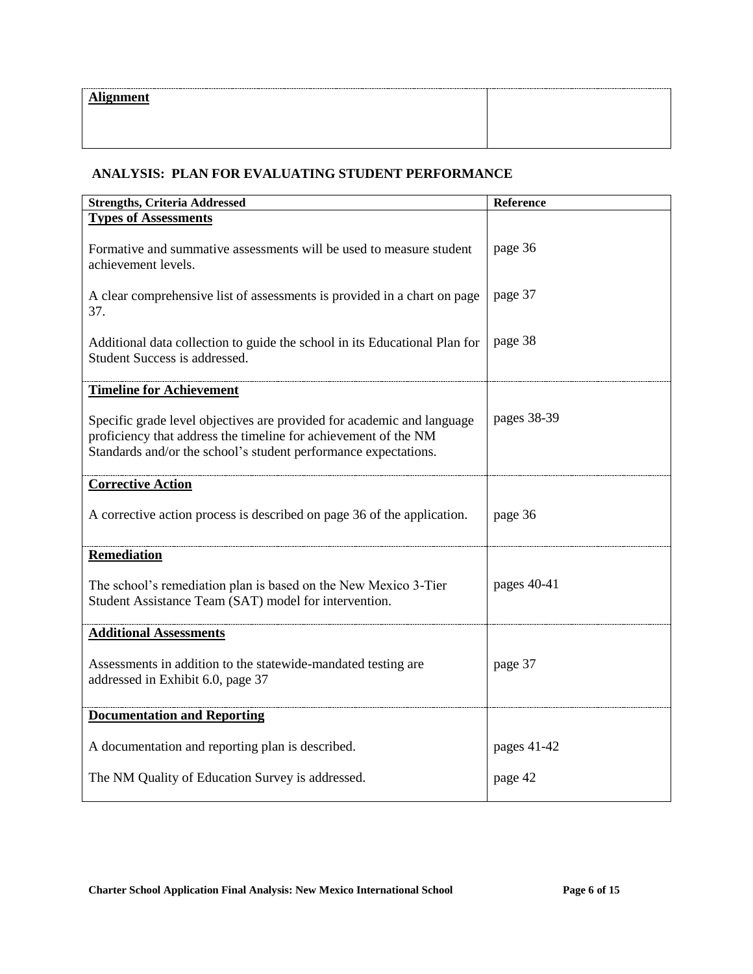#### **ANALYSIS: PLAN FOR EVALUATING STUDENT PERFORMANCE**

| <b>Strengths, Criteria Addressed</b>                                                                                                                                                                         | Reference   |
|--------------------------------------------------------------------------------------------------------------------------------------------------------------------------------------------------------------|-------------|
| <b>Types of Assessments</b>                                                                                                                                                                                  |             |
| Formative and summative assessments will be used to measure student<br>achievement levels.                                                                                                                   | page 36     |
| A clear comprehensive list of assessments is provided in a chart on page<br>37.                                                                                                                              | page 37     |
| Additional data collection to guide the school in its Educational Plan for<br>Student Success is addressed.                                                                                                  | page 38     |
| <b>Timeline for Achievement</b>                                                                                                                                                                              |             |
| Specific grade level objectives are provided for academic and language<br>proficiency that address the timeline for achievement of the NM<br>Standards and/or the school's student performance expectations. | pages 38-39 |
| <b>Corrective Action</b>                                                                                                                                                                                     |             |
| A corrective action process is described on page 36 of the application.                                                                                                                                      | page 36     |
| <b>Remediation</b>                                                                                                                                                                                           |             |
| The school's remediation plan is based on the New Mexico 3-Tier<br>Student Assistance Team (SAT) model for intervention.                                                                                     | pages 40-41 |
| <b>Additional Assessments</b>                                                                                                                                                                                |             |
| Assessments in addition to the statewide-mandated testing are<br>addressed in Exhibit 6.0, page 37                                                                                                           | page 37     |
| <b>Documentation and Reporting</b>                                                                                                                                                                           |             |
| A documentation and reporting plan is described.                                                                                                                                                             | pages 41-42 |
| The NM Quality of Education Survey is addressed.                                                                                                                                                             | page 42     |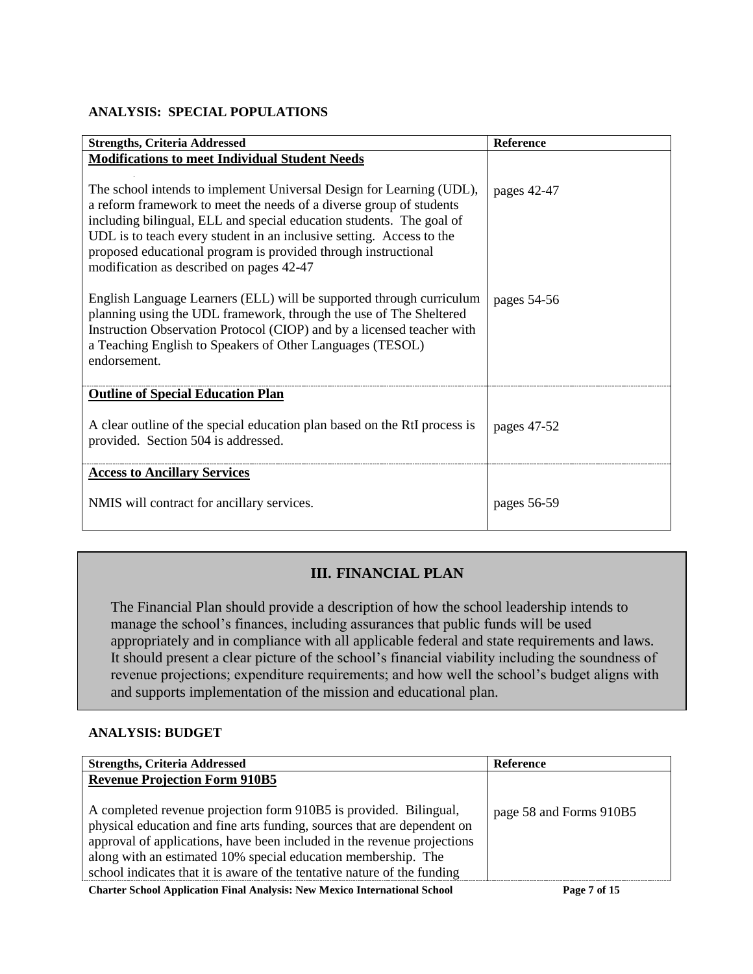#### **ANALYSIS: SPECIAL POPULATIONS**

| <b>Strengths, Criteria Addressed</b>                                                                                                                                                                                                                                                                                                                                                                      | Reference   |
|-----------------------------------------------------------------------------------------------------------------------------------------------------------------------------------------------------------------------------------------------------------------------------------------------------------------------------------------------------------------------------------------------------------|-------------|
| <b>Modifications to meet Individual Student Needs</b>                                                                                                                                                                                                                                                                                                                                                     |             |
| The school intends to implement Universal Design for Learning (UDL),<br>a reform framework to meet the needs of a diverse group of students<br>including bilingual, ELL and special education students. The goal of<br>UDL is to teach every student in an inclusive setting. Access to the<br>proposed educational program is provided through instructional<br>modification as described on pages 42-47 | pages 42-47 |
| English Language Learners (ELL) will be supported through curriculum<br>planning using the UDL framework, through the use of The Sheltered<br>Instruction Observation Protocol (CIOP) and by a licensed teacher with<br>a Teaching English to Speakers of Other Languages (TESOL)<br>endorsement.                                                                                                         | pages 54-56 |
| <b>Outline of Special Education Plan</b>                                                                                                                                                                                                                                                                                                                                                                  |             |
| A clear outline of the special education plan based on the RtI process is<br>provided. Section 504 is addressed.                                                                                                                                                                                                                                                                                          | pages 47-52 |
| <b>Access to Ancillary Services</b>                                                                                                                                                                                                                                                                                                                                                                       |             |
| NMIS will contract for ancillary services.                                                                                                                                                                                                                                                                                                                                                                | pages 56-59 |

## **III. FINANCIAL PLAN**

The Financial Plan should provide a description of how the school leadership intends to manage the school's finances, including assurances that public funds will be used appropriately and in compliance with all applicable federal and state requirements and laws. It should present a clear picture of the school's financial viability including the soundness of revenue projections; expenditure requirements; and how well the school's budget aligns with and supports implementation of the mission and educational plan.

#### **ANALYSIS: BUDGET**

| <b>Strengths, Criteria Addressed</b>                                     | <b>Reference</b>        |
|--------------------------------------------------------------------------|-------------------------|
| <b>Revenue Projection Form 910B5</b>                                     |                         |
|                                                                          |                         |
| A completed revenue projection form 910B5 is provided. Bilingual,        | page 58 and Forms 910B5 |
| physical education and fine arts funding, sources that are dependent on  |                         |
| approval of applications, have been included in the revenue projections  |                         |
| along with an estimated 10% special education membership. The            |                         |
| school indicates that it is aware of the tentative nature of the funding |                         |
| $\alpha$ , at the state of the state $\alpha$ , and the state $\alpha$   | $P = P + P$             |

**Charter School Application Final Analysis: New Mexico International School Page 7 of 15**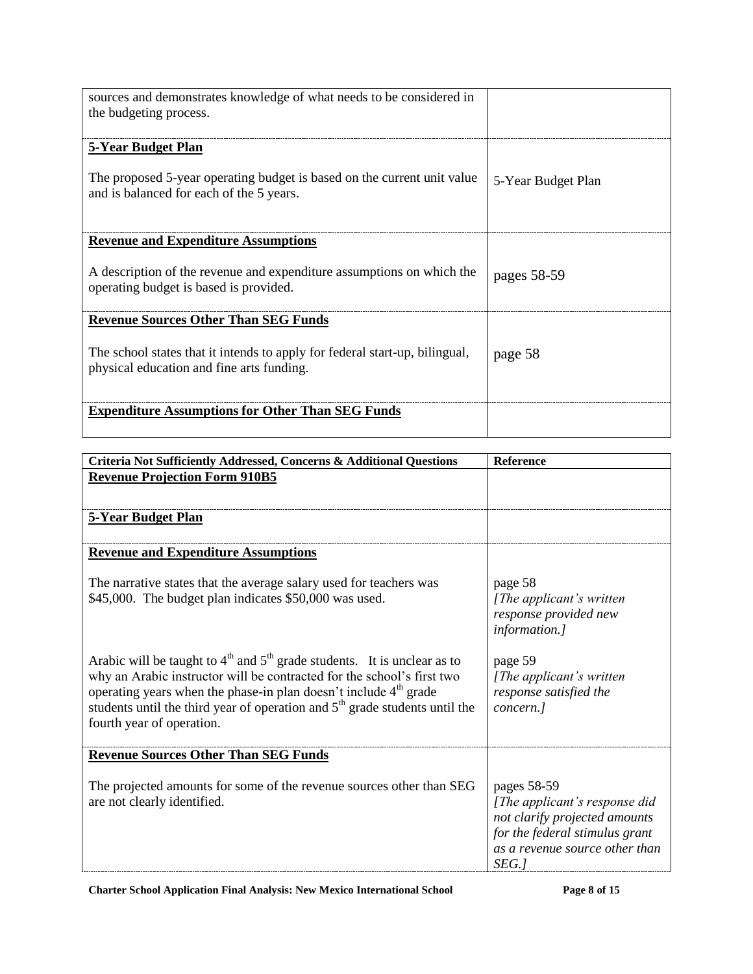| sources and demonstrates knowledge of what needs to be considered in        |                    |
|-----------------------------------------------------------------------------|--------------------|
| the budgeting process.                                                      |                    |
|                                                                             |                    |
| <b>5-Year Budget Plan</b>                                                   |                    |
|                                                                             |                    |
| The proposed 5-year operating budget is based on the current unit value     | 5-Year Budget Plan |
| and is balanced for each of the 5 years.                                    |                    |
|                                                                             |                    |
|                                                                             |                    |
| <b>Revenue and Expenditure Assumptions</b>                                  |                    |
| A description of the revenue and expenditure assumptions on which the       |                    |
| operating budget is based is provided.                                      | pages 58-59        |
|                                                                             |                    |
| <b>Revenue Sources Other Than SEG Funds</b>                                 |                    |
|                                                                             |                    |
| The school states that it intends to apply for federal start-up, bilingual, | page 58            |
| physical education and fine arts funding.                                   |                    |
|                                                                             |                    |
|                                                                             |                    |
| <b>Expenditure Assumptions for Other Than SEG Funds</b>                     |                    |
|                                                                             |                    |

| Criteria Not Sufficiently Addressed, Concerns & Additional Questions                                                                                                                                                                                                                                                                                 | Reference                                                                                                                                                  |
|------------------------------------------------------------------------------------------------------------------------------------------------------------------------------------------------------------------------------------------------------------------------------------------------------------------------------------------------------|------------------------------------------------------------------------------------------------------------------------------------------------------------|
| <b>Revenue Projection Form 910B5</b>                                                                                                                                                                                                                                                                                                                 |                                                                                                                                                            |
|                                                                                                                                                                                                                                                                                                                                                      |                                                                                                                                                            |
|                                                                                                                                                                                                                                                                                                                                                      |                                                                                                                                                            |
| 5-Year Budget Plan                                                                                                                                                                                                                                                                                                                                   |                                                                                                                                                            |
|                                                                                                                                                                                                                                                                                                                                                      |                                                                                                                                                            |
| <b>Revenue and Expenditure Assumptions</b>                                                                                                                                                                                                                                                                                                           |                                                                                                                                                            |
| The narrative states that the average salary used for teachers was<br>\$45,000. The budget plan indicates \$50,000 was used.                                                                                                                                                                                                                         | page 58<br>[The applicant's written]<br>response provided new<br>information.]                                                                             |
| Arabic will be taught to $4th$ and $5th$ grade students. It is unclear as to<br>why an Arabic instructor will be contracted for the school's first two<br>operating years when the phase-in plan doesn't include 4 <sup>th</sup> grade<br>students until the third year of operation and $5th$ grade students until the<br>fourth year of operation. | page 59<br>[The applicant's written]<br>response satisfied the<br>concern.]                                                                                |
| <b>Revenue Sources Other Than SEG Funds</b>                                                                                                                                                                                                                                                                                                          |                                                                                                                                                            |
| The projected amounts for some of the revenue sources other than SEG<br>are not clearly identified.                                                                                                                                                                                                                                                  | pages 58-59<br>[The applicant's response did<br>not clarify projected amounts<br>for the federal stimulus grant<br>as a revenue source other than<br>SEG.] |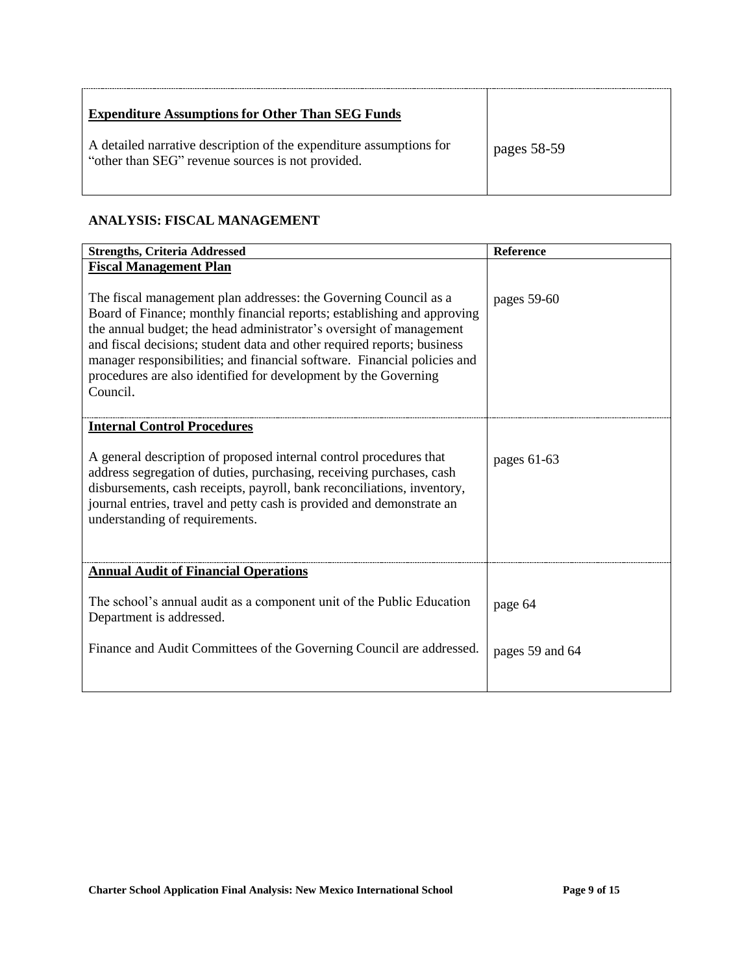| <b>Expenditure Assumptions for Other Than SEG Funds</b>                                                                  |             |
|--------------------------------------------------------------------------------------------------------------------------|-------------|
| A detailed narrative description of the expenditure assumptions for<br>"other than SEG" revenue sources is not provided. | pages 58-59 |

#### **ANALYSIS: FISCAL MANAGEMENT**

| <b>Strengths, Criteria Addressed</b>                                                                                                                                                                                                                                                                                                                                                                                                                     | Reference       |
|----------------------------------------------------------------------------------------------------------------------------------------------------------------------------------------------------------------------------------------------------------------------------------------------------------------------------------------------------------------------------------------------------------------------------------------------------------|-----------------|
| <b>Fiscal Management Plan</b>                                                                                                                                                                                                                                                                                                                                                                                                                            |                 |
| The fiscal management plan addresses: the Governing Council as a<br>Board of Finance; monthly financial reports; establishing and approving<br>the annual budget; the head administrator's oversight of management<br>and fiscal decisions; student data and other required reports; business<br>manager responsibilities; and financial software. Financial policies and<br>procedures are also identified for development by the Governing<br>Council. | pages 59-60     |
| <b>Internal Control Procedures</b>                                                                                                                                                                                                                                                                                                                                                                                                                       |                 |
| A general description of proposed internal control procedures that<br>address segregation of duties, purchasing, receiving purchases, cash<br>disbursements, cash receipts, payroll, bank reconciliations, inventory,<br>journal entries, travel and petty cash is provided and demonstrate an<br>understanding of requirements.                                                                                                                         | pages $61-63$   |
| <b>Annual Audit of Financial Operations</b>                                                                                                                                                                                                                                                                                                                                                                                                              |                 |
| The school's annual audit as a component unit of the Public Education<br>Department is addressed.                                                                                                                                                                                                                                                                                                                                                        | page 64         |
| Finance and Audit Committees of the Governing Council are addressed.                                                                                                                                                                                                                                                                                                                                                                                     | pages 59 and 64 |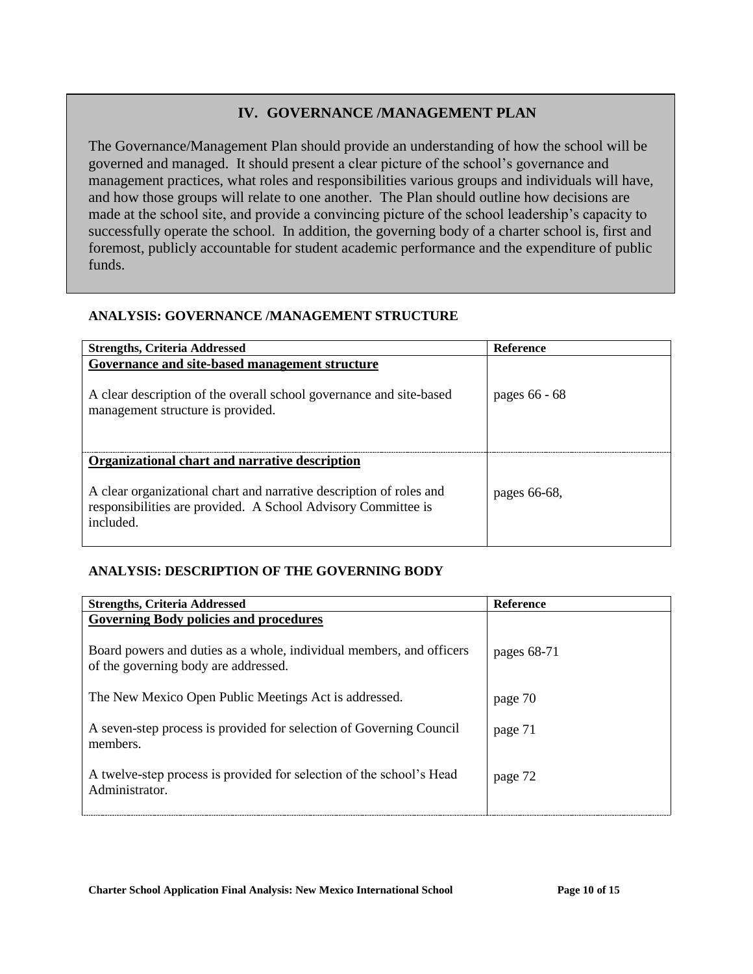#### **IV. GOVERNANCE /MANAGEMENT PLAN**

The Governance/Management Plan should provide an understanding of how the school will be governed and managed. It should present a clear picture of the school's governance and management practices, what roles and responsibilities various groups and individuals will have, and how those groups will relate to one another. The Plan should outline how decisions are made at the school site, and provide a convincing picture of the school leadership's capacity to successfully operate the school. In addition, the governing body of a charter school is, first and foremost, publicly accountable for student academic performance and the expenditure of public funds.

#### **ANALYSIS: GOVERNANCE /MANAGEMENT STRUCTURE**

| <b>Strengths, Criteria Addressed</b>                                                                                                                                                                | <b>Reference</b> |
|-----------------------------------------------------------------------------------------------------------------------------------------------------------------------------------------------------|------------------|
| Governance and site-based management structure<br>A clear description of the overall school governance and site-based<br>management structure is provided.                                          | pages 66 - 68    |
| Organizational chart and narrative description<br>A clear organizational chart and narrative description of roles and<br>responsibilities are provided. A School Advisory Committee is<br>included. | pages 66-68,     |

### **ANALYSIS: DESCRIPTION OF THE GOVERNING BODY**

| <b>Strengths, Criteria Addressed</b>                                                                         | <b>Reference</b> |
|--------------------------------------------------------------------------------------------------------------|------------------|
| <b>Governing Body policies and procedures</b>                                                                |                  |
| Board powers and duties as a whole, individual members, and officers<br>of the governing body are addressed. | pages 68-71      |
| The New Mexico Open Public Meetings Act is addressed.                                                        | page 70          |
| A seven-step process is provided for selection of Governing Council<br>members.                              | page 71          |
| A twelve-step process is provided for selection of the school's Head<br>Administrator.                       | page 72          |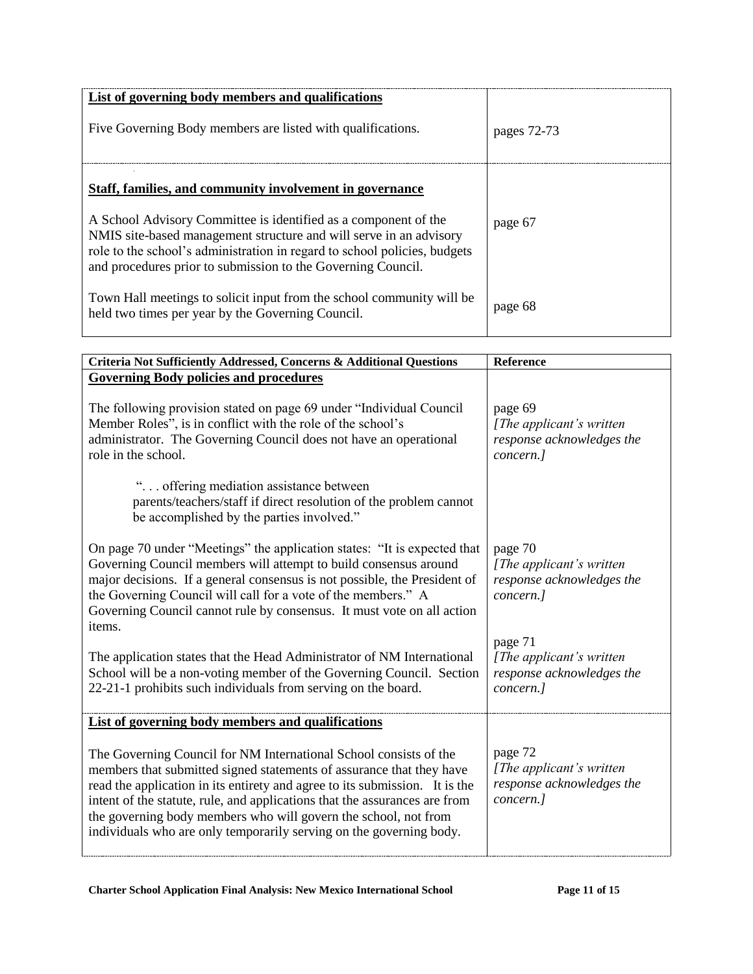| List of governing body members and qualifications                                                                                                                                                                                                                                                                                              |             |
|------------------------------------------------------------------------------------------------------------------------------------------------------------------------------------------------------------------------------------------------------------------------------------------------------------------------------------------------|-------------|
| Five Governing Body members are listed with qualifications.                                                                                                                                                                                                                                                                                    | pages 72-73 |
| Staff, families, and community involvement in governance<br>A School Advisory Committee is identified as a component of the<br>NMIS site-based management structure and will serve in an advisory<br>role to the school's administration in regard to school policies, budgets<br>and procedures prior to submission to the Governing Council. | page 67     |
| Town Hall meetings to solicit input from the school community will be<br>held two times per year by the Governing Council.                                                                                                                                                                                                                     | page 68     |

| Criteria Not Sufficiently Addressed, Concerns & Additional Questions                                                                                                                                                                                                                                                                                                                                                                             | Reference                                                                      |
|--------------------------------------------------------------------------------------------------------------------------------------------------------------------------------------------------------------------------------------------------------------------------------------------------------------------------------------------------------------------------------------------------------------------------------------------------|--------------------------------------------------------------------------------|
| <b>Governing Body policies and procedures</b>                                                                                                                                                                                                                                                                                                                                                                                                    |                                                                                |
| The following provision stated on page 69 under "Individual Council"<br>Member Roles", is in conflict with the role of the school's<br>administrator. The Governing Council does not have an operational<br>role in the school.                                                                                                                                                                                                                  | page 69<br>[The applicant's written]<br>response acknowledges the<br>concern.] |
| " offering mediation assistance between<br>parents/teachers/staff if direct resolution of the problem cannot<br>be accomplished by the parties involved."                                                                                                                                                                                                                                                                                        |                                                                                |
| On page 70 under "Meetings" the application states: "It is expected that<br>Governing Council members will attempt to build consensus around<br>major decisions. If a general consensus is not possible, the President of<br>the Governing Council will call for a vote of the members." A<br>Governing Council cannot rule by consensus. It must vote on all action<br>items.                                                                   | page 70<br>[The applicant's written]<br>response acknowledges the<br>concern.] |
| The application states that the Head Administrator of NM International<br>School will be a non-voting member of the Governing Council. Section<br>22-21-1 prohibits such individuals from serving on the board.                                                                                                                                                                                                                                  | page 71<br>[The applicant's written]<br>response acknowledges the<br>concern.] |
| List of governing body members and qualifications                                                                                                                                                                                                                                                                                                                                                                                                |                                                                                |
| The Governing Council for NM International School consists of the<br>members that submitted signed statements of assurance that they have<br>read the application in its entirety and agree to its submission. It is the<br>intent of the statute, rule, and applications that the assurances are from<br>the governing body members who will govern the school, not from<br>individuals who are only temporarily serving on the governing body. | page 72<br>[The applicant's written]<br>response acknowledges the<br>concern.] |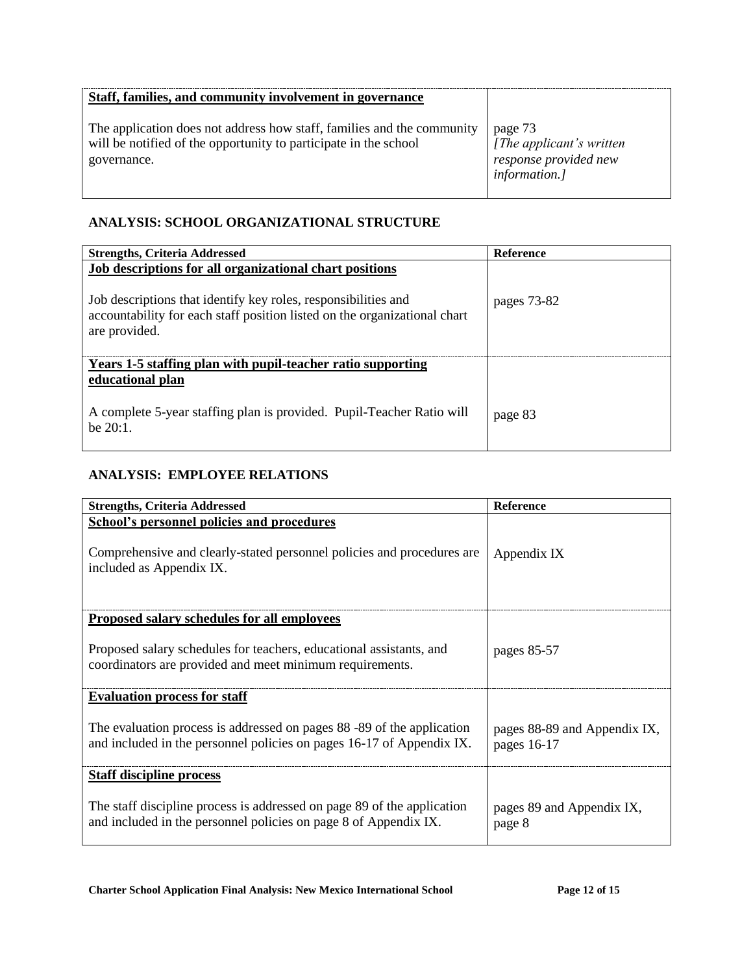| Staff, families, and community involvement in governance                                                                                                  |                                                                               |
|-----------------------------------------------------------------------------------------------------------------------------------------------------------|-------------------------------------------------------------------------------|
| The application does not address how staff, families and the community<br>will be notified of the opportunity to participate in the school<br>governance. | page 73<br>[The applicant's written<br>response provided new<br>information.] |

#### **ANALYSIS: SCHOOL ORGANIZATIONAL STRUCTURE**

| <b>Strengths, Criteria Addressed</b>                                                                                                                                                                                    | <b>Reference</b> |
|-------------------------------------------------------------------------------------------------------------------------------------------------------------------------------------------------------------------------|------------------|
| Job descriptions for all organizational chart positions<br>Job descriptions that identify key roles, responsibilities and<br>accountability for each staff position listed on the organizational chart<br>are provided. | pages 73-82      |
| Years 1-5 staffing plan with pupil-teacher ratio supporting<br>educational plan<br>A complete 5-year staffing plan is provided. Pupil-Teacher Ratio will                                                                |                  |
| he 20:1.                                                                                                                                                                                                                | page 83          |

#### **ANALYSIS: EMPLOYEE RELATIONS**

| <b>Strengths, Criteria Addressed</b>                                                                                                                    | <b>Reference</b>                            |
|---------------------------------------------------------------------------------------------------------------------------------------------------------|---------------------------------------------|
| <b>School's personnel policies and procedures</b><br>Comprehensive and clearly-stated personnel policies and procedures are<br>included as Appendix IX. | Appendix IX                                 |
| Proposed salary schedules for all employees                                                                                                             |                                             |
| Proposed salary schedules for teachers, educational assistants, and<br>coordinators are provided and meet minimum requirements.                         | pages 85-57                                 |
| <b>Evaluation process for staff</b>                                                                                                                     |                                             |
| The evaluation process is addressed on pages 88 -89 of the application<br>and included in the personnel policies on pages 16-17 of Appendix IX.         | pages 88-89 and Appendix IX,<br>pages 16-17 |
| Staff discipline process                                                                                                                                |                                             |
| The staff discipline process is addressed on page 89 of the application<br>and included in the personnel policies on page 8 of Appendix IX.             | pages 89 and Appendix IX,<br>page 8         |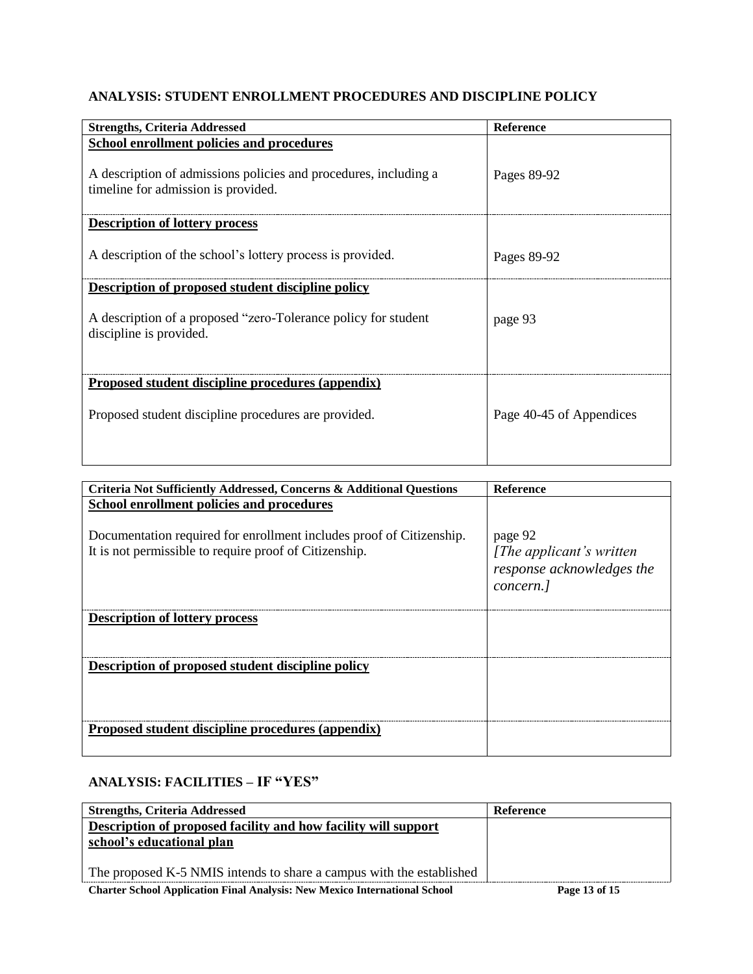#### **ANALYSIS: STUDENT ENROLLMENT PROCEDURES AND DISCIPLINE POLICY**

| <b>Strengths, Criteria Addressed</b>                                                                    | <b>Reference</b>         |
|---------------------------------------------------------------------------------------------------------|--------------------------|
| School enrollment policies and procedures                                                               |                          |
| A description of admissions policies and procedures, including a<br>timeline for admission is provided. | Pages 89-92              |
| <b>Description of lottery process</b>                                                                   |                          |
| A description of the school's lottery process is provided.                                              | Pages 89-92              |
| Description of proposed student discipline policy                                                       |                          |
| A description of a proposed "zero-Tolerance policy for student<br>discipline is provided.               | page 93                  |
| Proposed student discipline procedures (appendix)                                                       |                          |
| Proposed student discipline procedures are provided.                                                    | Page 40-45 of Appendices |

| Criteria Not Sufficiently Addressed, Concerns & Additional Questions                                                           | <b>Reference</b>                                                                        |
|--------------------------------------------------------------------------------------------------------------------------------|-----------------------------------------------------------------------------------------|
| School enrollment policies and procedures                                                                                      |                                                                                         |
| Documentation required for enrollment includes proof of Citizenship.<br>It is not permissible to require proof of Citizenship. | page 92<br>[ <i>The applicant's written</i> ]<br>response acknowledges the<br>concern.] |
| <b>Description of lottery process</b>                                                                                          |                                                                                         |
|                                                                                                                                |                                                                                         |
| Description of proposed student discipline policy                                                                              |                                                                                         |
|                                                                                                                                |                                                                                         |
| Proposed student discipline procedures (appendix)                                                                              |                                                                                         |
|                                                                                                                                |                                                                                         |

### **ANALYSIS: FACILITIES – IF "YES"**

| <b>Strengths, Criteria Addressed</b>                                              | <b>Reference</b> |
|-----------------------------------------------------------------------------------|------------------|
| Description of proposed facility and how facility will support                    |                  |
| school's educational plan                                                         |                  |
|                                                                                   |                  |
| The proposed K-5 NMIS intends to share a campus with the established              |                  |
| <b>Charter School Application Final Analysis: New Mexico International School</b> | Page 13 of 15    |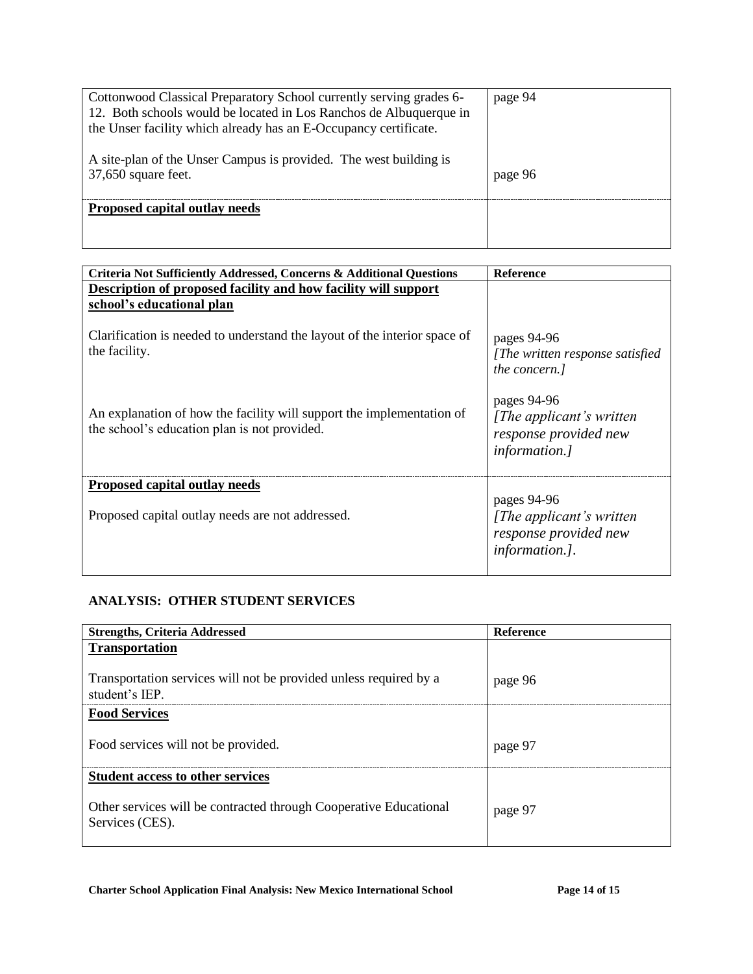| Cottonwood Classical Preparatory School currently serving grades 6-<br>12. Both schools would be located in Los Ranchos de Albuquerque in<br>the Unser facility which already has an E-Occupancy certificate. | page 94 |
|---------------------------------------------------------------------------------------------------------------------------------------------------------------------------------------------------------------|---------|
| A site-plan of the Unser Campus is provided. The west building is<br>$37,650$ square feet.                                                                                                                    | page 96 |
| Proposed capital outlay needs                                                                                                                                                                                 |         |

| Criteria Not Sufficiently Addressed, Concerns & Additional Questions                                                  | <b>Reference</b>                                                                          |
|-----------------------------------------------------------------------------------------------------------------------|-------------------------------------------------------------------------------------------|
| Description of proposed facility and how facility will support<br>school's educational plan                           |                                                                                           |
| Clarification is needed to understand the layout of the interior space of<br>the facility.                            | pages 94-96<br>[The written response satisfied]<br>the concern.]                          |
| An explanation of how the facility will support the implementation of<br>the school's education plan is not provided. | pages 94-96<br>[The applicant's written]<br>response provided new<br><i>information.]</i> |
| Proposed capital outlay needs                                                                                         |                                                                                           |
| Proposed capital outlay needs are not addressed.                                                                      | pages 94-96<br>[The applicant's written]<br>response provided new<br>information.].       |

## **ANALYSIS: OTHER STUDENT SERVICES**

| <b>Strengths, Criteria Addressed</b>                                               | <b>Reference</b> |
|------------------------------------------------------------------------------------|------------------|
| <b>Transportation</b>                                                              |                  |
|                                                                                    |                  |
| Transportation services will not be provided unless required by a<br>student's IEP | page 96          |
| <b>Food Services</b>                                                               |                  |
|                                                                                    |                  |
| Food services will not be provided.                                                | page 9.          |
|                                                                                    |                  |
| <b>Student access to other services</b>                                            |                  |
|                                                                                    |                  |
| Other services will be contracted through Cooperative Educational                  | page 97          |
| Services (CES).                                                                    |                  |
|                                                                                    |                  |